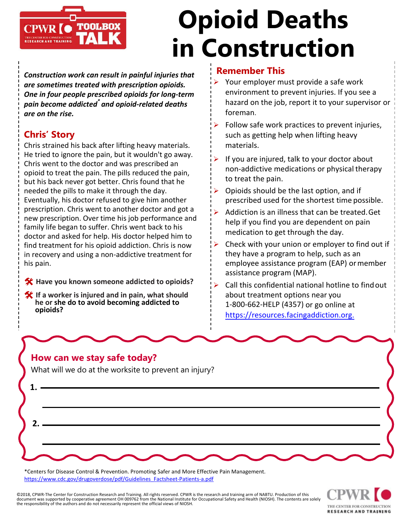

# **Opioid Deaths in Construction**

*Construction work can result in painful injuries that are sometimes treated with prescription opioids. One in four people prescribed opioids for long-term pain become addicted\* and opioid-related deaths are on the rise.* 

### **Chris' Story**

Chris strained his back after lifting heavy materials. He tried to ignore the pain, but it wouldn't go away. Chris went to the doctor and was prescribed an opioid to treat the pain. The pills reduced the pain, but his back never got better. Chris found that he needed the pills to make it through the day. Eventually, his doctor refused to give him another prescription. Chris went to another doctor and got a new prescription. Over time his job performance and family life began to suffer. Chris went back to his doctor and asked for help. His doctor helped him to find treatment for his opioid addiction. Chris is now in recovery and using a non-addictive treatment for his pain.

- **Have you known someone addicted to opioids?**
- **If a worker is injured and in pain, what should he or she do to avoid becoming addicted to opioids?**

#### **Remember This**

- $\triangleright$  Your employer must provide a safe work environment to prevent injuries. If you see a hazard on the job, report it to your supervisor or foreman.
- $\triangleright$  Follow safe work practices to prevent injuries, such as getting help when lifting heavy materials.
- $\triangleright$  If you are injured, talk to your doctor about non-addictive medications or physical therapy to treat the pain.
- $\triangleright$  Opioids should be the last option, and if prescribed used for the shortest time possible.
- Addiction is an illness that can be treated.Get help if you find you are dependent on pain medication to get through the day.
- Check with your union or employer to find out if they have a program to help, such as an employee assistance program (EAP) or member assistance program (MAP).
- Call this confidential national hotline to findout about treatment options near you 1-[800-662-HELP \(4357\)](https://resources.facingaddiction.org/) or go online at https://resources.facingaddiction.org.

#### **How can we stay safe today?**

What will we do at the worksite to prevent an injury?



\*Centers for Disease Control & Prevention. Promoting Safer and More Effective Pain Management. [https://www.cdc.gov/drugoverdose/pdf/Guidelines\\_Factsheet-Patients-a.pdf](https://www.cdc.gov/drugoverdose/pdf/Guidelines_Factsheet-Patients-a.pdf)

©2018, CPWR-The Center for Construction Research and Training. All rights reserved. CPWR is the research and training arm of NABTU. Production of this document was supported by cooperative agreement OH 009762 from the National Institute for Occupational Safety and Health (NIOSH). The contents are solely the responsibility of the authors and do not necessarily represent the official views of NIOSH.